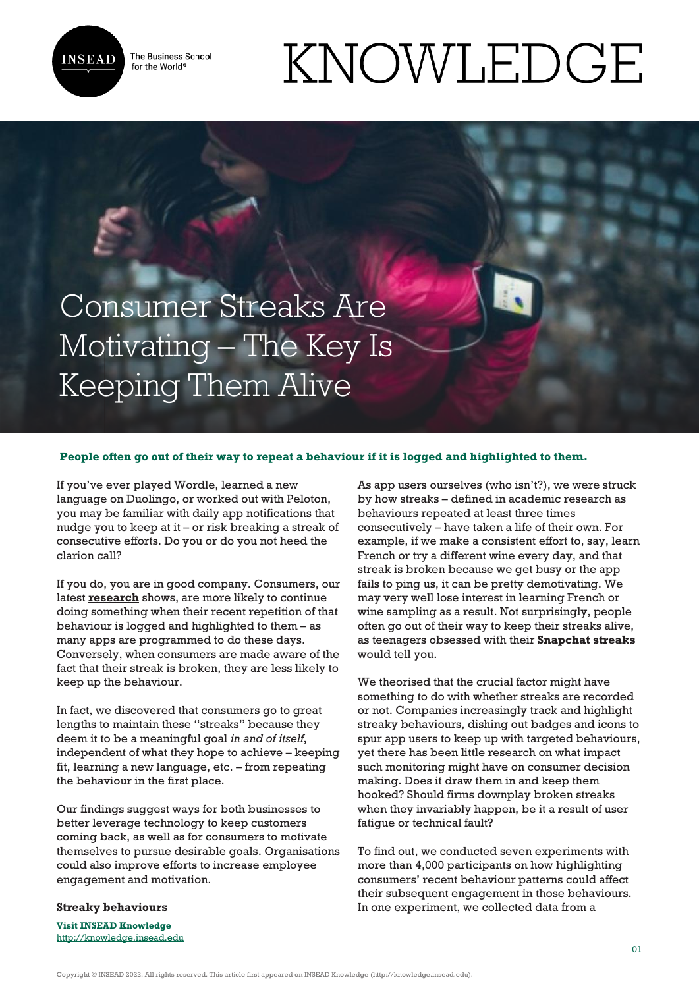

The Business School for the World<sup>®</sup>

# KNOWLEDGE

Consumer Streaks Are Motivating – The Key Is Keeping Them Alive

### **People often go out of their way to repeat a behaviour if it is logged and highlighted to them.**

If you've ever played Wordle, learned a new language on Duolingo, or worked out with Peloton, you may be familiar with daily app notifications that nudge you to keep at it – or risk breaking a streak of consecutive efforts. Do you or do you not heed the clarion call?

If you do, you are in good company. Consumers, our latest **[research](https://papers.ssrn.com/sol3/papers.cfm?abstract_id=4050655)** shows, are more likely to continue doing something when their recent repetition of that behaviour is logged and highlighted to them – as many apps are programmed to do these days. Conversely, when consumers are made aware of the fact that their streak is broken, they are less likely to keep up the behaviour.

In fact, we discovered that consumers go to great lengths to maintain these "streaks" because they deem it to be a meaningful goal *in and of itself*, independent of what they hope to achieve – keeping fit, learning a new language, etc. – from repeating the behaviour in the first place.

Our findings suggest ways for both businesses to better leverage technology to keep customers coming back, as well as for consumers to motivate themselves to pursue desirable goals. Organisations could also improve efforts to increase employee engagement and motivation.

As app users ourselves (who isn't?), we were struck by how streaks – defined in academic research as behaviours repeated at least three times consecutively – have taken a life of their own. For example, if we make a consistent effort to, say, learn French or try a different wine every day, and that streak is broken because we get busy or the app fails to ping us, it can be pretty demotivating. We may very well lose interest in learning French or wine sampling as a result. Not surprisingly, people often go out of their way to keep their streaks alive, as teenagers obsessed with their **[Snapchat streaks](https://www.mic.com/articles/173998/17-teens-take-us-inside-the-world-of-snapchat-streaks-where-friendships-live-or-die)** would tell you.

We theorised that the crucial factor might have something to do with whether streaks are recorded or not. Companies increasingly track and highlight streaky behaviours, dishing out badges and icons to spur app users to keep up with targeted behaviours, yet there has been little research on what impact such monitoring might have on consumer decision making. Does it draw them in and keep them hooked? Should firms downplay broken streaks when they invariably happen, be it a result of user fatigue or technical fault?

To find out, we conducted seven experiments with more than 4,000 participants on how highlighting consumers' recent behaviour patterns could affect their subsequent engagement in those behaviours. In one experiment, we collected data from a

## **Streaky behaviours**

**Visit INSEAD Knowledge** <http://knowledge.insead.edu>

Copyright © INSEAD 2022. All rights reserved. This article first appeared on INSEAD Knowledge (http://knowledge.insead.edu).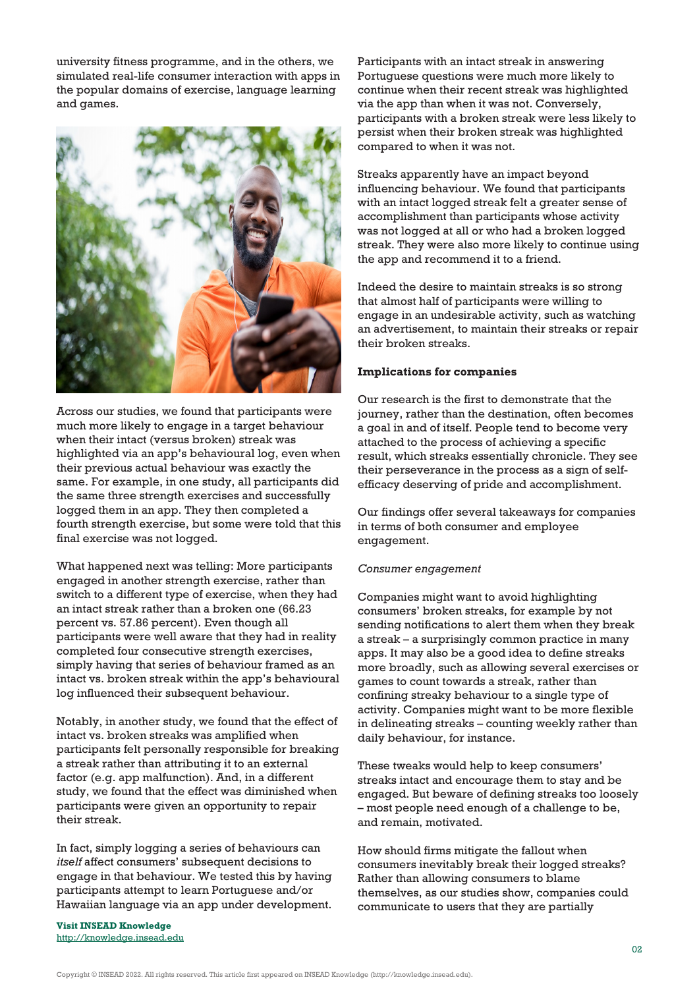university fitness programme, and in the others, we simulated real-life consumer interaction with apps in the popular domains of exercise, language learning and games.



Across our studies, we found that participants were much more likely to engage in a target behaviour when their intact (versus broken) streak was highlighted via an app's behavioural log, even when their previous actual behaviour was exactly the same. For example, in one study, all participants did the same three strength exercises and successfully logged them in an app. They then completed a fourth strength exercise, but some were told that this final exercise was not logged.

What happened next was telling: More participants engaged in another strength exercise, rather than switch to a different type of exercise, when they had an intact streak rather than a broken one (66.23 percent vs. 57.86 percent). Even though all participants were well aware that they had in reality completed four consecutive strength exercises, simply having that series of behaviour framed as an intact vs. broken streak within the app's behavioural log influenced their subsequent behaviour.

Notably, in another study, we found that the effect of intact vs. broken streaks was amplified when participants felt personally responsible for breaking a streak rather than attributing it to an external factor (e.g. app malfunction). And, in a different study, we found that the effect was diminished when participants were given an opportunity to repair their streak.

In fact, simply logging a series of behaviours can *itself* affect consumers' subsequent decisions to engage in that behaviour. We tested this by having participants attempt to learn Portuguese and/or Hawaiian language via an app under development.

**Visit INSEAD Knowledge** <http://knowledge.insead.edu> Participants with an intact streak in answering Portuguese questions were much more likely to continue when their recent streak was highlighted via the app than when it was not. Conversely, participants with a broken streak were less likely to persist when their broken streak was highlighted compared to when it was not.

Streaks apparently have an impact beyond influencing behaviour. We found that participants with an intact logged streak felt a greater sense of accomplishment than participants whose activity was not logged at all or who had a broken logged streak. They were also more likely to continue using the app and recommend it to a friend.

Indeed the desire to maintain streaks is so strong that almost half of participants were willing to engage in an undesirable activity, such as watching an advertisement, to maintain their streaks or repair their broken streaks.

### **Implications for companies**

Our research is the first to demonstrate that the journey, rather than the destination, often becomes a goal in and of itself. People tend to become very attached to the process of achieving a specific result, which streaks essentially chronicle. They see their perseverance in the process as a sign of selfefficacy deserving of pride and accomplishment.

Our findings offer several takeaways for companies in terms of both consumer and employee engagement.

## *Consumer engagement*

Companies might want to avoid highlighting consumers' broken streaks, for example by not sending notifications to alert them when they break a streak – a surprisingly common practice in many apps. It may also be a good idea to define streaks more broadly, such as allowing several exercises or games to count towards a streak, rather than confining streaky behaviour to a single type of activity. Companies might want to be more flexible in delineating streaks – counting weekly rather than daily behaviour, for instance.

These tweaks would help to keep consumers' streaks intact and encourage them to stay and be engaged. But beware of defining streaks too loosely – most people need enough of a challenge to be, and remain, motivated.

How should firms mitigate the fallout when consumers inevitably break their logged streaks? Rather than allowing consumers to blame themselves, as our studies show, companies could communicate to users that they are partially

Copyright © INSEAD 2022. All rights reserved. This article first appeared on INSEAD Knowledge (http://knowledge.insead.edu).